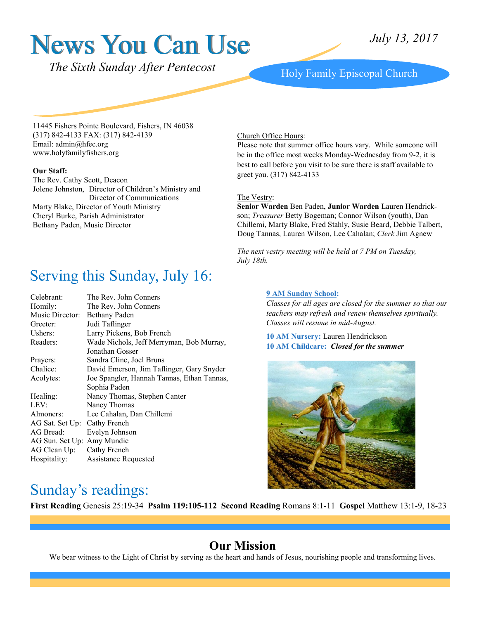# News You Can Use

*The Sixth Sunday After Pentecost* Holy Family Episcopal Church

11445 Fishers Pointe Boulevard, Fishers, IN 46038 (317) 842-4133 FAX: (317) 842-4139 Email: admin@hfec.org www.holyfamilyfishers.org

#### **Our Staff:**

The Rev. Cathy Scott, Deacon Jolene Johnston, Director of Children's Ministry and Director of Communications Marty Blake, Director of Youth Ministry Cheryl Burke, Parish Administrator Bethany Paden, Music Director

# Serving this Sunday, July 16:

| Celebrant:                   | The Rev. John Conners                      |  |  |
|------------------------------|--------------------------------------------|--|--|
| Homily:                      | The Rev. John Conners                      |  |  |
| Music Director:              | Bethany Paden                              |  |  |
| Greeter:                     | Judi Taflinger                             |  |  |
| Ushers:                      | Larry Pickens, Bob French                  |  |  |
| Readers:                     | Wade Nichols, Jeff Merryman, Bob Murray,   |  |  |
|                              | Jonathan Gosser                            |  |  |
| Prayers:                     | Sandra Cline, Joel Bruns                   |  |  |
| Chalice:                     | David Emerson, Jim Taflinger, Gary Snyder  |  |  |
| Acolytes:                    | Joe Spangler, Hannah Tannas, Ethan Tannas, |  |  |
|                              | Sophia Paden                               |  |  |
| Healing:                     | Nancy Thomas, Stephen Canter               |  |  |
| LEV:                         | Nancy Thomas                               |  |  |
| Almoners:                    | Lee Cahalan, Dan Chillemi                  |  |  |
| AG Sat. Set Up: Cathy French |                                            |  |  |
| AG Bread:                    | Evelyn Johnson                             |  |  |
| AG Sun. Set Up: Amy Mundie   |                                            |  |  |
| AG Clean Up:                 | Cathy French                               |  |  |
| Hospitality:                 | <b>Assistance Requested</b>                |  |  |
|                              |                                            |  |  |

#### Church Office Hours:

Please note that summer office hours vary. While someone will be in the office most weeks Monday-Wednesday from 9-2, it is best to call before you visit to be sure there is staff available to greet you. (317) 842-4133

#### The Vestry:

**Senior Warden** Ben Paden, **Junior Warden** Lauren Hendrickson; *Treasurer* Betty Bogeman; Connor Wilson (youth), Dan Chillemi, Marty Blake, Fred Stahly, Susie Beard, Debbie Talbert, Doug Tannas, Lauren Wilson, Lee Cahalan; *Clerk* Jim Agnew

*The next vestry meeting will be held at 7 PM on Tuesday, July 18th.*

#### **9 AM Sunday School:**

*Classes for all ages are closed for the summer so that our teachers may refresh and renew themselves spiritually. Classes will resume in mid-August.*

**10 AM Nursery:** Lauren Hendrickson **10 AM Childcare:** *Closed for the summer*



#### Sunday's readings:

**First Reading** Genesis 25:19-34**Psalm 119:105-112 Second Reading** Romans 8:1-11 **Gospel** Matthew 13:1-9, 18-23

#### **Our Mission**

We bear witness to the Light of Christ by serving as the heart and hands of Jesus, nourishing people and transforming lives.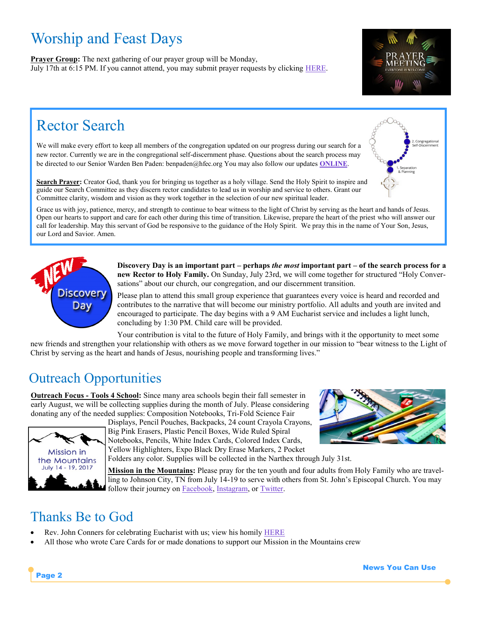# Worship and Feast Days

**Prayer Group:** The next gathering of our prayer group will be Monday, July 17th at 6:15 PM. If you cannot attend, you may submit prayer requests by clicking [HERE.](http://www.holyfamilyfishers.org/contact-us/)



# Rector Search

We will make every effort to keep all members of the congregation updated on our progress during our search for a new rector. Currently we are in the congregational self-discernment phase. Questions about the search process may be directed to our Senior Warden Ben Paden: benpaden@hfec.org You may also follow our updates **[ONLINE](http://www.holyfamilyfishers.org/rector-search/)**.



**Search Prayer:** Creator God, thank you for bringing us together as a holy village. Send the Holy Spirit to inspire and guide our Search Committee as they discern rector candidates to lead us in worship and service to others. Grant our Committee clarity, wisdom and vision as they work together in the selection of our new spiritual leader.

Grace us with joy, patience, mercy, and strength to continue to bear witness to the light of Christ by serving as the heart and hands of Jesus. Open our hearts to support and care for each other during this time of transition. Likewise, prepare the heart of the priest who will answer our call for leadership. May this servant of God be responsive to the guidance of the Holy Spirit. We pray this in the name of Your Son, Jesus, our Lord and Savior. Amen.



**Discovery Day is an important part – perhaps** *the most* **important part – of the search process for a new Rector to Holy Family.** On Sunday, July 23rd, we will come together for structured "Holy Conversations" about our church, our congregation, and our discernment transition.

Please plan to attend this small group experience that guarantees every voice is heard and recorded and contributes to the narrative that will become our ministry portfolio. All adults and youth are invited and encouraged to participate. The day begins with a 9 AM Eucharist service and includes a light lunch, concluding by 1:30 PM. Child care will be provided.

Your contribution is vital to the future of Holy Family, and brings with it the opportunity to meet some new friends and strengthen your relationship with others as we move forward together in our mission to "bear witness to the Light of Christ by serving as the heart and hands of Jesus, nourishing people and transforming lives."

### Outreach Opportunities

**Outreach Focus - Tools 4 School:** Since many area schools begin their fall semester in early August, we will be collecting supplies during the month of July. Please considering donating any of the needed supplies: Composition Notebooks, Tri-Fold Science Fair



Displays, Pencil Pouches, Backpacks, 24 count Crayola Crayons, Big Pink Erasers, Plastic Pencil Boxes, Wide Ruled Spiral Notebooks, Pencils, White Index Cards, Colored Index Cards, Yellow Highlighters, Expo Black Dry Erase Markers, 2 Pocket

Folders any color. Supplies will be collected in the Narthex through July 31st.

**Mission in the Mountains:** Please pray for the ten youth and four adults from Holy Family who are travelling to Johnson City, TN from July 14-19 to serve with others from St. John's Episcopal Church. You may follow their journey on [Facebook,](https://www.facebook.com/HFECYouthGroup/) [Instagram,](https://twitter.com/HFECYouthGroup) or [Twitter.](https://twitter.com/HFECYouthGroup)

### Thanks Be to God

- Rev. John Conners for celebrating Eucharist with us; view his homily **[HERE](https://www.youtube.com/watch?v=S-MagUGOgFk)**
- All those who wrote Care Cards for or made donations to support our Mission in the Mountains crew



Page 2